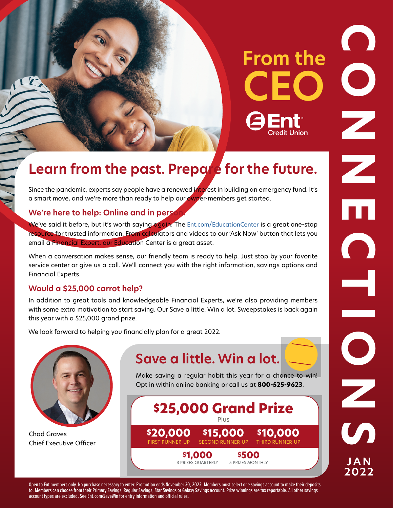# **From the CEO**

**\$25K!** 

## **Learn from the past. Prepare for the future.**

Since the pandemic, experts say people have a renewed interest in building an emergency fund. It's a smart move, and we're more than ready to help our owner-members get started.

#### **We're here to help: Online and in person.**

T.

email a Financial Expert, our Education Center is a great asset. We've said it before, but it's worth saying again: The [Ent.com/EducationCenter](https://www.ent.com/educationcenter/) is a great one-stop resource for trusted information. From calculators and videos to our 'Ask Now' button that lets you

When a conversation makes sense, our friendly team is ready to help. Just stop by your favorite service center or give us a call. We'll connect you with the right information, savings options and Financial Experts.

#### **Would a \$25,000 carrot help?**

In addition to great tools and knowledgeable Financial Experts, we're also providing members with some extra motivation to start saving. Our Save a little. Win a lot. Sweepstakes is back again this year with a \$25,000 grand prize.

We look forward to helping you financially plan for a great 2022.



Chad Graves Chief Executive Officer

## **Save a little. Win a lot.**

Make saving a regular habit this year for a chance to win! Opt in within online banking or call us at **800-525-9623**.



**CONNECTIONS**  $\bullet$  $\bullet$ Z m O Z  $\mathcal{L}_{\text{A}}$ **2022** 

Open to Ent members only. No purchase necessary to enter. Promotion ends November 30, 2022. Members must select one savings account to make their deposits to. Members can choose from their Primary Savings, Regular Savings, Star Savings or Galaxy Savings account. Prize winnings are tax reportable. All other savings account types are excluded. See [Ent.com/SaveWin](https://Ent.com/SaveWin) for entry information and official rules.